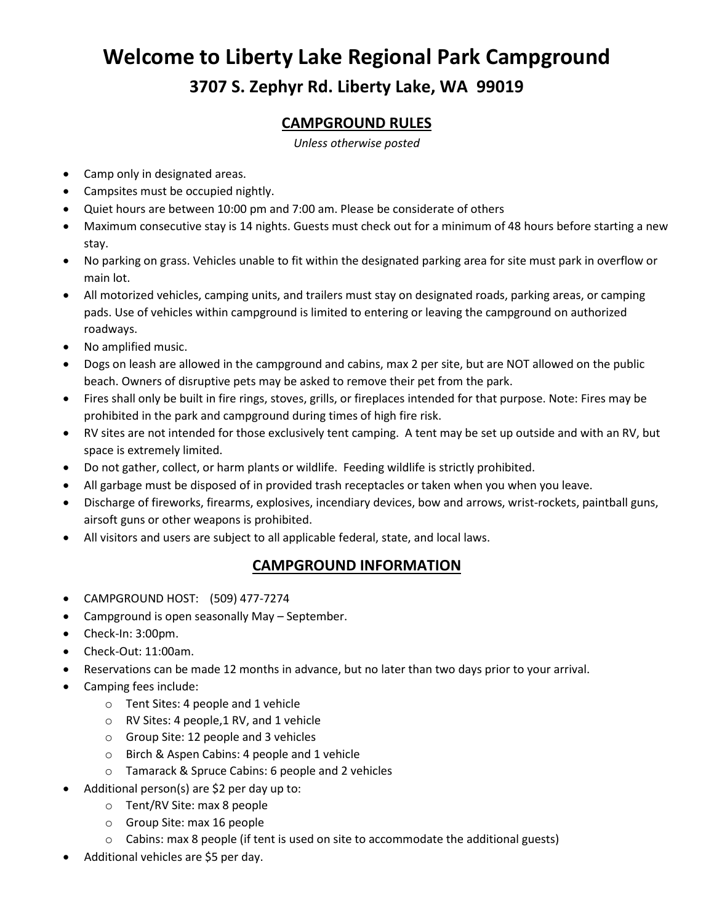# **Welcome to Liberty Lake Regional Park Campground 3707 S. Zephyr Rd. Liberty Lake, WA 99019**

#### **CAMPGROUND RULES**

*Unless otherwise posted*

- Camp only in designated areas.
- Campsites must be occupied nightly.
- Quiet hours are between 10:00 pm and 7:00 am. Please be considerate of others
- Maximum consecutive stay is 14 nights. Guests must check out for a minimum of 48 hours before starting a new stay.
- No parking on grass. Vehicles unable to fit within the designated parking area for site must park in overflow or main lot.
- All motorized vehicles, camping units, and trailers must stay on designated roads, parking areas, or camping pads. Use of vehicles within campground is limited to entering or leaving the campground on authorized roadways.
- No amplified music.
- Dogs on leash are allowed in the campground and cabins, max 2 per site, but are NOT allowed on the public beach. Owners of disruptive pets may be asked to remove their pet from the park.
- Fires shall only be built in fire rings, stoves, grills, or fireplaces intended for that purpose. Note: Fires may be prohibited in the park and campground during times of high fire risk.
- RV sites are not intended for those exclusively tent camping. A tent may be set up outside and with an RV, but space is extremely limited.
- Do not gather, collect, or harm plants or wildlife. Feeding wildlife is strictly prohibited.
- All garbage must be disposed of in provided trash receptacles or taken when you when you leave.
- Discharge of fireworks, firearms, explosives, incendiary devices, bow and arrows, wrist-rockets, paintball guns, airsoft guns or other weapons is prohibited.
- All visitors and users are subject to all applicable federal, state, and local laws.

#### **CAMPGROUND INFORMATION**

- CAMPGROUND HOST: (509) 477-7274
- Campground is open seasonally May September.
- Check-In: 3:00pm.
- Check-Out: 11:00am.
- Reservations can be made 12 months in advance, but no later than two days prior to your arrival.
- Camping fees include:
	- o Tent Sites: 4 people and 1 vehicle
	- $\circ$  RV Sites: 4 people, 1 RV, and 1 vehicle
	- o Group Site: 12 people and 3 vehicles
	- o Birch & Aspen Cabins: 4 people and 1 vehicle
	- o Tamarack & Spruce Cabins: 6 people and 2 vehicles
- Additional person(s) are \$2 per day up to:
	- o Tent/RV Site: max 8 people
	- o Group Site: max 16 people
	- $\circ$  Cabins: max 8 people (if tent is used on site to accommodate the additional guests)
- Additional vehicles are \$5 per day.